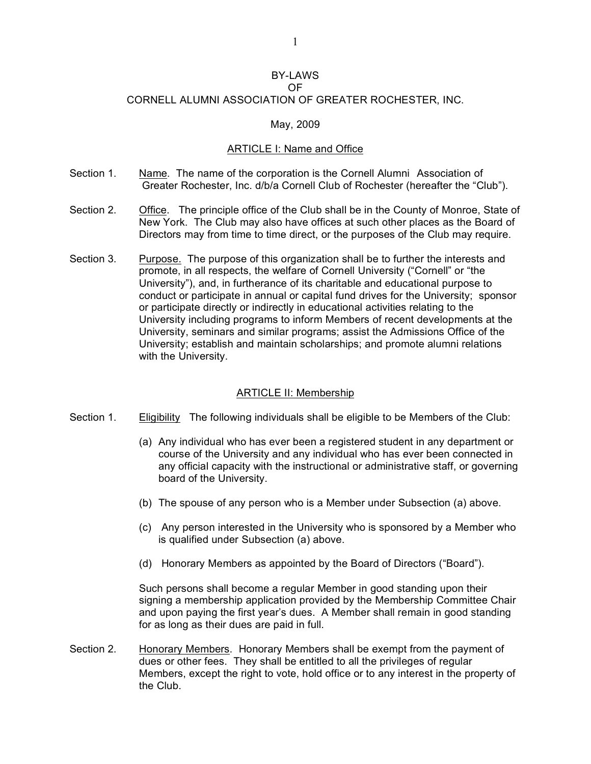#### BY-LAWS OF

# CORNELL ALUMNI ASSOCIATION OF GREATER ROCHESTER, INC.

## May, 2009

## ARTICLE I: Name and Office

- Section 1. Name. The name of the corporation is the Cornell Alumni Association of Greater Rochester, Inc. d/b/a Cornell Club of Rochester (hereafter the "Club").
- Section 2. Office. The principle office of the Club shall be in the County of Monroe, State of New York. The Club may also have offices at such other places as the Board of Directors may from time to time direct, or the purposes of the Club may require.
- Section 3. Purpose. The purpose of this organization shall be to further the interests and promote, in all respects, the welfare of Cornell University ("Cornell" or "the University"), and, in furtherance of its charitable and educational purpose to conduct or participate in annual or capital fund drives for the University; sponsor or participate directly or indirectly in educational activities relating to the University including programs to inform Members of recent developments at the University, seminars and similar programs; assist the Admissions Office of the University; establish and maintain scholarships; and promote alumni relations with the University.

## ARTICLE II: Membership

- Section 1. Eligibility The following individuals shall be eligible to be Members of the Club:
	- (a) Any individual who has ever been a registered student in any department or course of the University and any individual who has ever been connected in any official capacity with the instructional or administrative staff, or governing board of the University.
	- (b) The spouse of any person who is a Member under Subsection (a) above.
	- (c) Any person interested in the University who is sponsored by a Member who is qualified under Subsection (a) above.
	- (d) Honorary Members as appointed by the Board of Directors ("Board").

Such persons shall become a regular Member in good standing upon their signing a membership application provided by the Membership Committee Chair and upon paying the first year's dues. A Member shall remain in good standing for as long as their dues are paid in full.

Section 2. Honorary Members. Honorary Members shall be exempt from the payment of dues or other fees. They shall be entitled to all the privileges of regular Members, except the right to vote, hold office or to any interest in the property of the Club.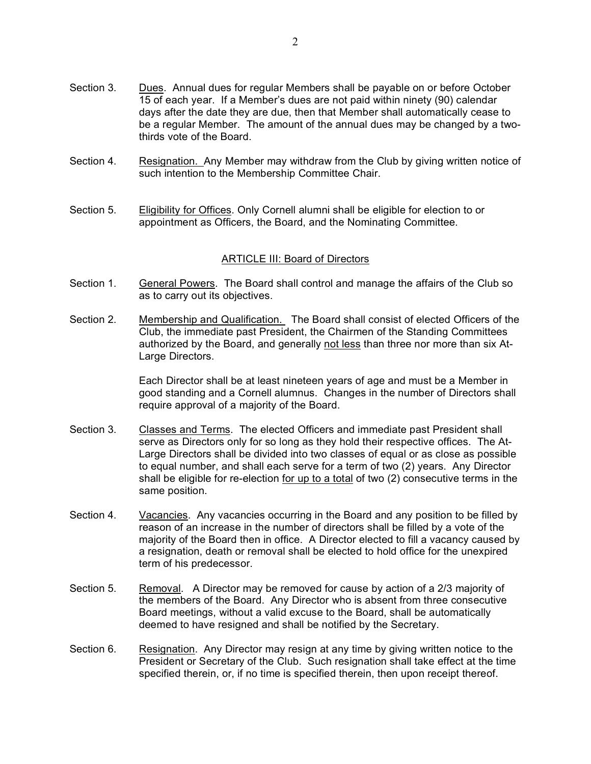- Section 3. Dues. Annual dues for regular Members shall be payable on or before October 15 of each year. If a Member's dues are not paid within ninety (90) calendar days after the date they are due, then that Member shall automatically cease to be a regular Member. The amount of the annual dues may be changed by a twothirds vote of the Board.
- Section 4. Resignation. Any Member may withdraw from the Club by giving written notice of such intention to the Membership Committee Chair.
- Section 5. Eligibility for Offices. Only Cornell alumni shall be eligible for election to or appointment as Officers, the Board, and the Nominating Committee.

#### ARTICLE III: Board of Directors

- Section 1. General Powers. The Board shall control and manage the affairs of the Club so as to carry out its objectives.
- Section 2. Membership and Qualification. The Board shall consist of elected Officers of the Club, the immediate past President, the Chairmen of the Standing Committees authorized by the Board, and generally not less than three nor more than six At-Large Directors.

Each Director shall be at least nineteen years of age and must be a Member in good standing and a Cornell alumnus. Changes in the number of Directors shall require approval of a majority of the Board.

- Section 3. Classes and Terms. The elected Officers and immediate past President shall serve as Directors only for so long as they hold their respective offices. The At-Large Directors shall be divided into two classes of equal or as close as possible to equal number, and shall each serve for a term of two (2) years. Any Director shall be eligible for re-election for up to a total of two (2) consecutive terms in the same position.
- Section 4. Vacancies. Any vacancies occurring in the Board and any position to be filled by reason of an increase in the number of directors shall be filled by a vote of the majority of the Board then in office. A Director elected to fill a vacancy caused by a resignation, death or removal shall be elected to hold office for the unexpired term of his predecessor.
- Section 5. Removal. A Director may be removed for cause by action of a 2/3 majority of the members of the Board. Any Director who is absent from three consecutive Board meetings, without a valid excuse to the Board, shall be automatically deemed to have resigned and shall be notified by the Secretary.
- Section 6. Resignation. Any Director may resign at any time by giving written notice to the President or Secretary of the Club. Such resignation shall take effect at the time specified therein, or, if no time is specified therein, then upon receipt thereof.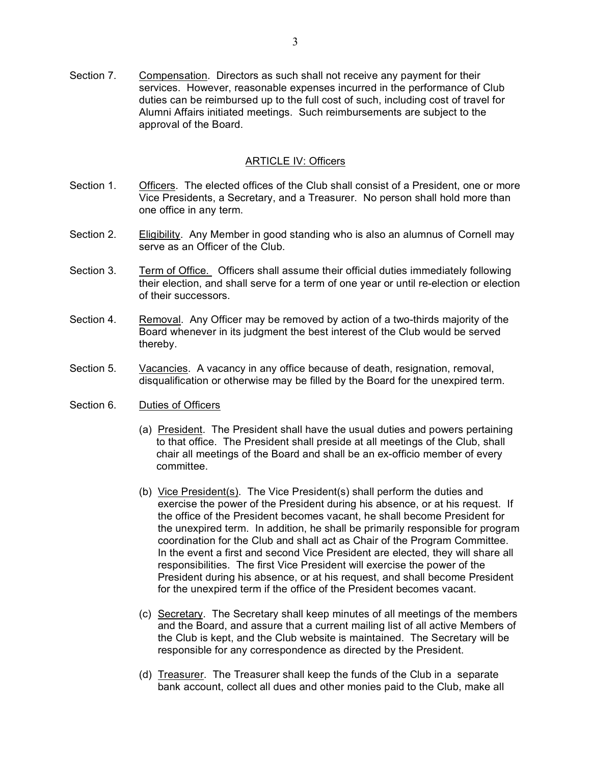Section 7. Compensation. Directors as such shall not receive any payment for their services. However, reasonable expenses incurred in the performance of Club duties can be reimbursed up to the full cost of such, including cost of travel for Alumni Affairs initiated meetings. Such reimbursements are subject to the approval of the Board.

## ARTICLE IV: Officers

- Section 1. Officers. The elected offices of the Club shall consist of a President, one or more Vice Presidents, a Secretary, and a Treasurer. No person shall hold more than one office in any term.
- Section 2. Eligibility. Any Member in good standing who is also an alumnus of Cornell may serve as an Officer of the Club.
- Section 3. Term of Office. Officers shall assume their official duties immediately following their election, and shall serve for a term of one year or until re-election or election of their successors.
- Section 4. Removal. Any Officer may be removed by action of a two-thirds majority of the Board whenever in its judgment the best interest of the Club would be served thereby.
- Section 5. Vacancies. A vacancy in any office because of death, resignation, removal, disqualification or otherwise may be filled by the Board for the unexpired term.
- Section 6. Duties of Officers
	- (a) President. The President shall have the usual duties and powers pertaining to that office. The President shall preside at all meetings of the Club, shall chair all meetings of the Board and shall be an ex-officio member of every committee.
	- (b) Vice President(s). The Vice President(s) shall perform the duties and exercise the power of the President during his absence, or at his request. If the office of the President becomes vacant, he shall become President for the unexpired term. In addition, he shall be primarily responsible for program coordination for the Club and shall act as Chair of the Program Committee. In the event a first and second Vice President are elected, they will share all responsibilities. The first Vice President will exercise the power of the President during his absence, or at his request, and shall become President for the unexpired term if the office of the President becomes vacant.
	- (c) Secretary. The Secretary shall keep minutes of all meetings of the members and the Board, and assure that a current mailing list of all active Members of the Club is kept, and the Club website is maintained. The Secretary will be responsible for any correspondence as directed by the President.
	- (d) Treasurer. The Treasurer shall keep the funds of the Club in a separate bank account, collect all dues and other monies paid to the Club, make all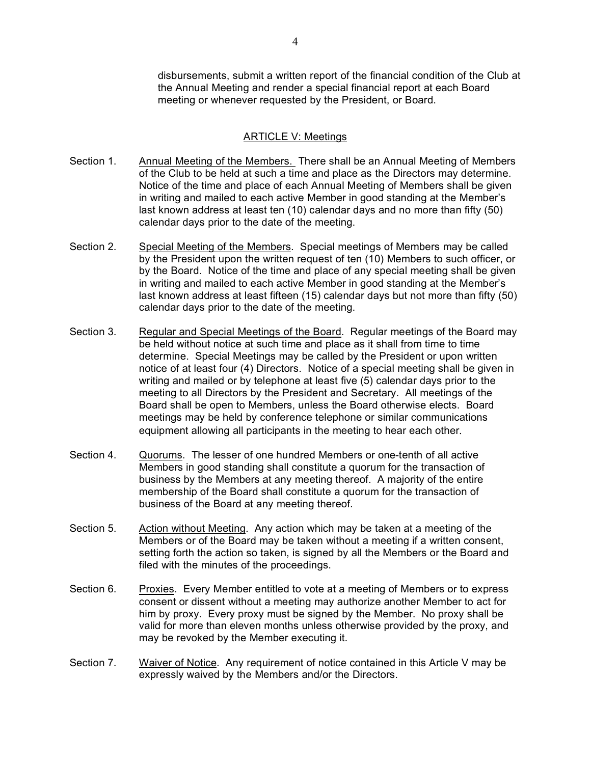disbursements, submit a written report of the financial condition of the Club at the Annual Meeting and render a special financial report at each Board meeting or whenever requested by the President, or Board.

## ARTICLE V: Meetings

- Section 1. Annual Meeting of the Members. There shall be an Annual Meeting of Members of the Club to be held at such a time and place as the Directors may determine. Notice of the time and place of each Annual Meeting of Members shall be given in writing and mailed to each active Member in good standing at the Member's last known address at least ten (10) calendar days and no more than fifty (50) calendar days prior to the date of the meeting.
- Section 2. Special Meeting of the Members. Special meetings of Members may be called by the President upon the written request of ten (10) Members to such officer, or by the Board. Notice of the time and place of any special meeting shall be given in writing and mailed to each active Member in good standing at the Member's last known address at least fifteen (15) calendar days but not more than fifty (50) calendar days prior to the date of the meeting.
- Section 3. Regular and Special Meetings of the Board. Regular meetings of the Board may be held without notice at such time and place as it shall from time to time determine. Special Meetings may be called by the President or upon written notice of at least four (4) Directors. Notice of a special meeting shall be given in writing and mailed or by telephone at least five (5) calendar days prior to the meeting to all Directors by the President and Secretary. All meetings of the Board shall be open to Members, unless the Board otherwise elects. Board meetings may be held by conference telephone or similar communications equipment allowing all participants in the meeting to hear each other.
- Section 4. Quorums. The lesser of one hundred Members or one-tenth of all active Members in good standing shall constitute a quorum for the transaction of business by the Members at any meeting thereof. A majority of the entire membership of the Board shall constitute a quorum for the transaction of business of the Board at any meeting thereof.
- Section 5. Action without Meeting. Any action which may be taken at a meeting of the Members or of the Board may be taken without a meeting if a written consent, setting forth the action so taken, is signed by all the Members or the Board and filed with the minutes of the proceedings.
- Section 6. Proxies. Every Member entitled to vote at a meeting of Members or to express consent or dissent without a meeting may authorize another Member to act for him by proxy. Every proxy must be signed by the Member. No proxy shall be valid for more than eleven months unless otherwise provided by the proxy, and may be revoked by the Member executing it.
- Section 7. Waiver of Notice. Any requirement of notice contained in this Article V may be expressly waived by the Members and/or the Directors.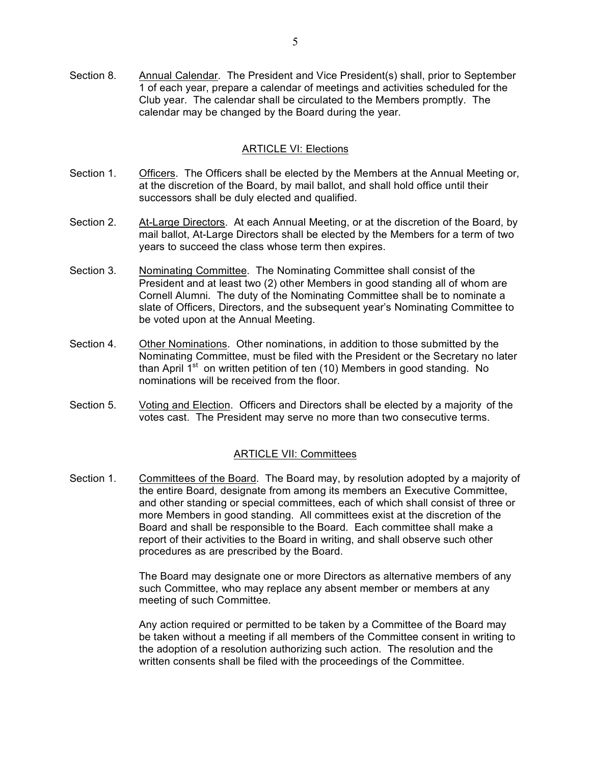Section 8. Annual Calendar. The President and Vice President(s) shall, prior to September 1 of each year, prepare a calendar of meetings and activities scheduled for the Club year. The calendar shall be circulated to the Members promptly. The calendar may be changed by the Board during the year.

#### ARTICLE VI: Elections

- Section 1. Officers. The Officers shall be elected by the Members at the Annual Meeting or, at the discretion of the Board, by mail ballot, and shall hold office until their successors shall be duly elected and qualified.
- Section 2. At-Large Directors. At each Annual Meeting, or at the discretion of the Board, by mail ballot, At-Large Directors shall be elected by the Members for a term of two years to succeed the class whose term then expires.
- Section 3. Nominating Committee. The Nominating Committee shall consist of the President and at least two (2) other Members in good standing all of whom are Cornell Alumni. The duty of the Nominating Committee shall be to nominate a slate of Officers, Directors, and the subsequent year's Nominating Committee to be voted upon at the Annual Meeting.
- Section 4. Other Nominations. Other nominations, in addition to those submitted by the Nominating Committee, must be filed with the President or the Secretary no later than April  $1<sup>st</sup>$  on written petition of ten (10) Members in good standing. No nominations will be received from the floor.
- Section 5. Voting and Election. Officers and Directors shall be elected by a majority of the votes cast. The President may serve no more than two consecutive terms.

## ARTICLE VII: Committees

Section 1. Committees of the Board. The Board may, by resolution adopted by a majority of the entire Board, designate from among its members an Executive Committee, and other standing or special committees, each of which shall consist of three or more Members in good standing. All committees exist at the discretion of the Board and shall be responsible to the Board. Each committee shall make a report of their activities to the Board in writing, and shall observe such other procedures as are prescribed by the Board.

> The Board may designate one or more Directors as alternative members of any such Committee, who may replace any absent member or members at any meeting of such Committee.

Any action required or permitted to be taken by a Committee of the Board may be taken without a meeting if all members of the Committee consent in writing to the adoption of a resolution authorizing such action. The resolution and the written consents shall be filed with the proceedings of the Committee.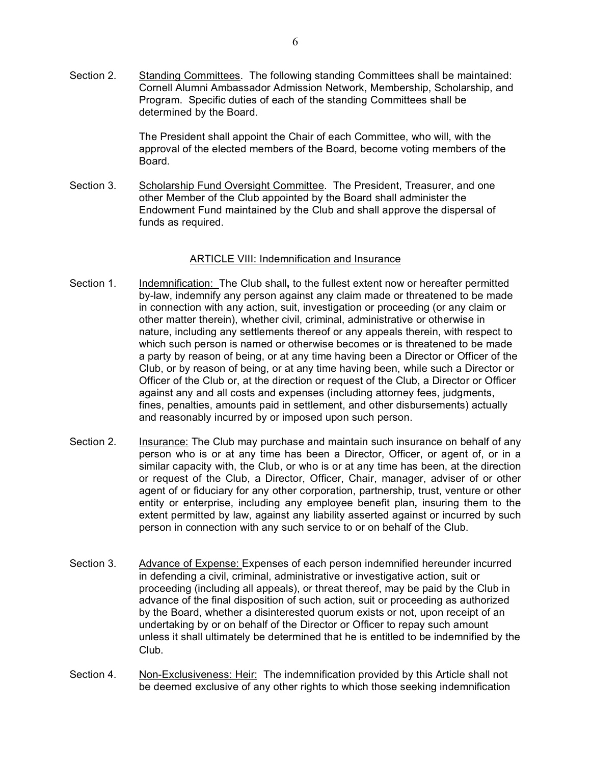Section 2. Standing Committees. The following standing Committees shall be maintained: Cornell Alumni Ambassador Admission Network, Membership, Scholarship, and Program. Specific duties of each of the standing Committees shall be determined by the Board.

> The President shall appoint the Chair of each Committee, who will, with the approval of the elected members of the Board, become voting members of the Board.

Section 3. Scholarship Fund Oversight Committee. The President, Treasurer, and one other Member of the Club appointed by the Board shall administer the Endowment Fund maintained by the Club and shall approve the dispersal of funds as required.

## ARTICLE VIII: Indemnification and Insurance

- Section 1. Indemnification: The Club shall**,** to the fullest extent now or hereafter permitted by-law, indemnify any person against any claim made or threatened to be made in connection with any action, suit, investigation or proceeding (or any claim or other matter therein), whether civil, criminal, administrative or otherwise in nature, including any settlements thereof or any appeals therein, with respect to which such person is named or otherwise becomes or is threatened to be made a party by reason of being, or at any time having been a Director or Officer of the Club, or by reason of being, or at any time having been, while such a Director or Officer of the Club or, at the direction or request of the Club, a Director or Officer against any and all costs and expenses (including attorney fees, judgments, fines, penalties, amounts paid in settlement, and other disbursements) actually and reasonably incurred by or imposed upon such person.
- Section 2. Insurance: The Club may purchase and maintain such insurance on behalf of any person who is or at any time has been a Director, Officer, or agent of, or in a similar capacity with, the Club, or who is or at any time has been, at the direction or request of the Club, a Director, Officer, Chair, manager, adviser of or other agent of or fiduciary for any other corporation, partnership, trust, venture or other entity or enterprise, including any employee benefit plan**,** insuring them to the extent permitted by law, against any liability asserted against or incurred by such person in connection with any such service to or on behalf of the Club.
- Section 3. Advance of Expense: Expenses of each person indemnified hereunder incurred in defending a civil, criminal, administrative or investigative action, suit or proceeding (including all appeals), or threat thereof, may be paid by the Club in advance of the final disposition of such action, suit or proceeding as authorized by the Board, whether a disinterested quorum exists or not, upon receipt of an undertaking by or on behalf of the Director or Officer to repay such amount unless it shall ultimately be determined that he is entitled to be indemnified by the Club.
- Section 4. Non-Exclusiveness: Heir: The indemnification provided by this Article shall not be deemed exclusive of any other rights to which those seeking indemnification